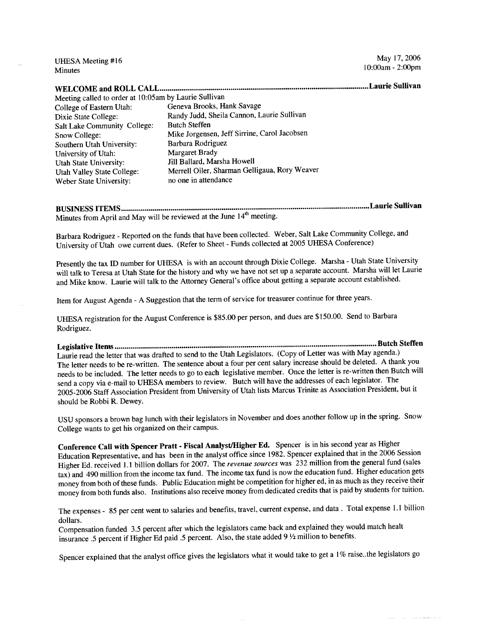Minutes 10:00am - 2:00pm

|                                                       | .Laurie Sullivan                              |
|-------------------------------------------------------|-----------------------------------------------|
| Meeting called to order at 10:05am by Laurie Sullivan |                                               |
| College of Eastern Utah:                              | Geneva Brooks, Hank Savage                    |
| Dixie State College:                                  | Randy Judd, Sheila Cannon, Laurie Sullivan    |
| Salt Lake Community College:                          | <b>Butch Steffen</b>                          |
| Snow College:                                         | Mike Jorgensen, Jeff Sirrine, Carol Jacobsen  |
| Southern Utah University:                             | Barbara Rodriguez                             |
| University of Utah:                                   | <b>Margaret Brady</b>                         |
| <b>Utah State University:</b>                         | Jill Ballard, Marsha Howell                   |
| <b>Utah Valley State College:</b>                     | Merrell Oiler, Sharman Gelligaua, Rory Weaver |
| Weber State University:                               | no one in attendance                          |

**BUSINESS ITEMS Laurie Sullivan** Minutes from April and May will be reviewed at the June  $14<sup>th</sup>$  meeting.

Barbara Rodriguez - Reported on the funds that have been collected. Weber, Salt Lake Community College, and University of Utah owe current dues. (Refer to Sheet - Funds collected at 2005 UHESA Conference)

Presently the tax ID number for UHESA is with an account through Dixie College. Marsha - Utah State University will talk to Teresa at Utah State for the history and why we have not set up a separate account. Marsha will let Laurie and Mike know. Laurie will talk to the Attorney General's office about getting a separate account established.

Item for August Agenda - A Suggestion that the term of service for treasurer continue for three years.

UHESA registration for the August Conference is \$85.00 per person, and dues are \$150.00. Send to Barbara Rodriguez.

**Legislative Items Butch Steffen** Laurie read the letter that was drafted to send to the Utah Legislators. (Copy of Letter was with May agenda.) The letter needs to be re-written. The sentence about a four per cent salary increase should be deleted. A thank you needs to be included. The letter needs to go to each legislative member. Once the letter is re-written then Butch will send a copy via e-mail to UHESA members to review. Butch will have the addresses of each legislator. The 2005-2006 Staff Association President from University of Utah lists Marcus Trinite as Association President, but it should be Robbi R. Dewey.

USU sponsors a brown bag lunch with their legislators in November and does another follow up in the spring. Snow College wants to get his organized on their campus.

**Conference Call with Spencer Pratt - Fiscal Analyst/Higher Ed.** Spencer is in his second year as Higher Education Representative, and has been in the analyst office since 1982. Spencer explained that in the 2006 Session Higher Ed. received 1.1 billion dollars for 2007. The *revenue sources* was 232 million from the general fund (sales tax) and 490 million from the income tax fund. The income tax fund is now the education fund. Higher education gets money from both of these funds. Public Education might be competition for higher ed, in as much as they receive their money from both funds also. Institutions also receive money from dedicated credits that is paid by students for tuition.

The expenses - 85 per cent went to salaries and benefits, travel, current expense, and data . Total expense 1.1 billion dollars.

Compensation funded 3.5 percent after which the legislators came back and explained they would match healt insurance .5 percent if Higher Ed paid .5 percent. Also, the state added 9 *¥2* million to benefits.

Spencer explained that the analyst office gives the legislators what it would take to get a 1% raise..the legislators go